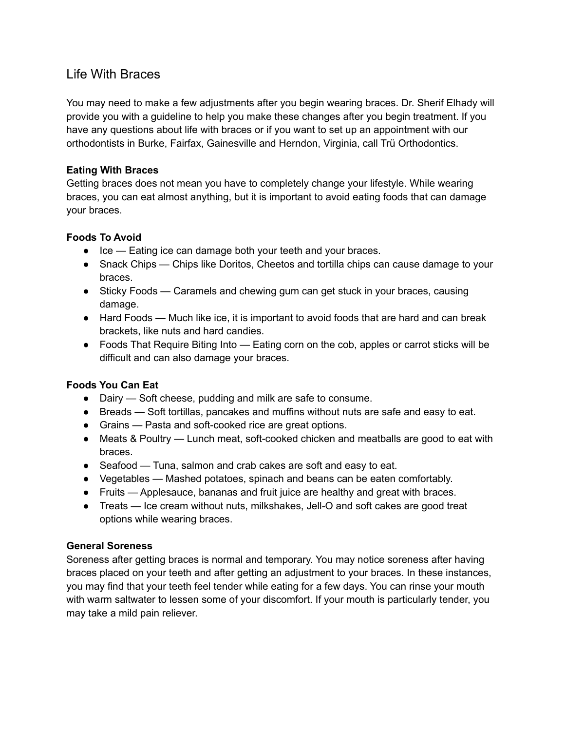# Life With Braces

You may need to make a few adjustments after you begin wearing braces. Dr. Sherif Elhady will provide you with a guideline to help you make these changes after you begin treatment. If you have any questions about life with braces or if you want to set up an appointment with our orthodontists in Burke, Fairfax, Gainesville and Herndon, Virginia, call Trü Orthodontics.

## **Eating With Braces**

Getting braces does not mean you have to completely change your lifestyle. While wearing braces, you can eat almost anything, but it is important to avoid eating foods that can damage your braces.

## **Foods To Avoid**

- Ice Eating ice can damage both your teeth and your braces.
- Snack Chips Chips like Doritos, Cheetos and tortilla chips can cause damage to your braces.
- Sticky Foods Caramels and chewing gum can get stuck in your braces, causing damage.
- Hard Foods Much like ice, it is important to avoid foods that are hard and can break brackets, like nuts and hard candies.
- Foods That Require Biting Into Eating corn on the cob, apples or carrot sticks will be difficult and can also damage your braces.

# **Foods You Can Eat**

- Dairy Soft cheese, pudding and milk are safe to consume.
- Breads Soft tortillas, pancakes and muffins without nuts are safe and easy to eat.
- Grains Pasta and soft-cooked rice are great options.
- Meats & Poultry Lunch meat, soft-cooked chicken and meatballs are good to eat with braces.
- Seafood Tuna, salmon and crab cakes are soft and easy to eat.
- Vegetables Mashed potatoes, spinach and beans can be eaten comfortably.
- Fruits Applesauce, bananas and fruit juice are healthy and great with braces.
- Treats Ice cream without nuts, milkshakes, Jell-O and soft cakes are good treat options while wearing braces.

#### **General Soreness**

Soreness after getting braces is normal and temporary. You may notice soreness after having braces placed on your teeth and after getting an adjustment to your braces. In these instances, you may find that your teeth feel tender while eating for a few days. You can rinse your mouth with warm saltwater to lessen some of your discomfort. If your mouth is particularly tender, you may take a mild pain reliever.